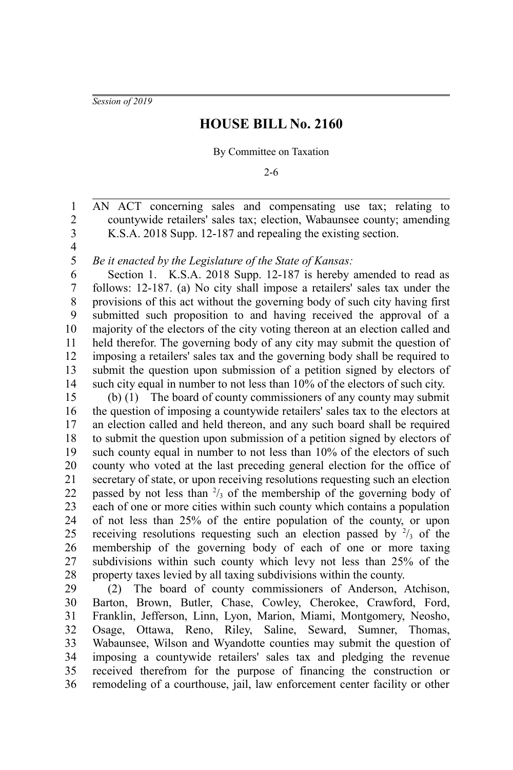*Session of 2019*

## **HOUSE BILL No. 2160**

## By Committee on Taxation

2-6

AN ACT concerning sales and compensating use tax; relating to countywide retailers' sales tax; election, Wabaunsee county; amending K.S.A. 2018 Supp. 12-187 and repealing the existing section. 1 2 3

4 5

*Be it enacted by the Legislature of the State of Kansas:*

Section 1. K.S.A. 2018 Supp. 12-187 is hereby amended to read as follows: 12-187. (a) No city shall impose a retailers' sales tax under the provisions of this act without the governing body of such city having first submitted such proposition to and having received the approval of a majority of the electors of the city voting thereon at an election called and held therefor. The governing body of any city may submit the question of imposing a retailers' sales tax and the governing body shall be required to submit the question upon submission of a petition signed by electors of such city equal in number to not less than 10% of the electors of such city. 6 7 8 9 10 11 12 13 14

(b) (1) The board of county commissioners of any county may submit the question of imposing a countywide retailers' sales tax to the electors at an election called and held thereon, and any such board shall be required to submit the question upon submission of a petition signed by electors of such county equal in number to not less than 10% of the electors of such county who voted at the last preceding general election for the office of secretary of state, or upon receiving resolutions requesting such an election passed by not less than  $\frac{2}{3}$  of the membership of the governing body of each of one or more cities within such county which contains a population of not less than 25% of the entire population of the county, or upon receiving resolutions requesting such an election passed by  $\frac{2}{3}$  of the membership of the governing body of each of one or more taxing subdivisions within such county which levy not less than 25% of the property taxes levied by all taxing subdivisions within the county. 15 16 17 18 19 20 21 22 23 24 25 26 27 28

(2) The board of county commissioners of Anderson, Atchison, Barton, Brown, Butler, Chase, Cowley, Cherokee, Crawford, Ford, Franklin, Jefferson, Linn, Lyon, Marion, Miami, Montgomery, Neosho, Osage, Ottawa, Reno, Riley, Saline, Seward, Sumner, Thomas, Wabaunsee, Wilson and Wyandotte counties may submit the question of imposing a countywide retailers' sales tax and pledging the revenue received therefrom for the purpose of financing the construction or remodeling of a courthouse, jail, law enforcement center facility or other 29 30 31 32 33 34 35 36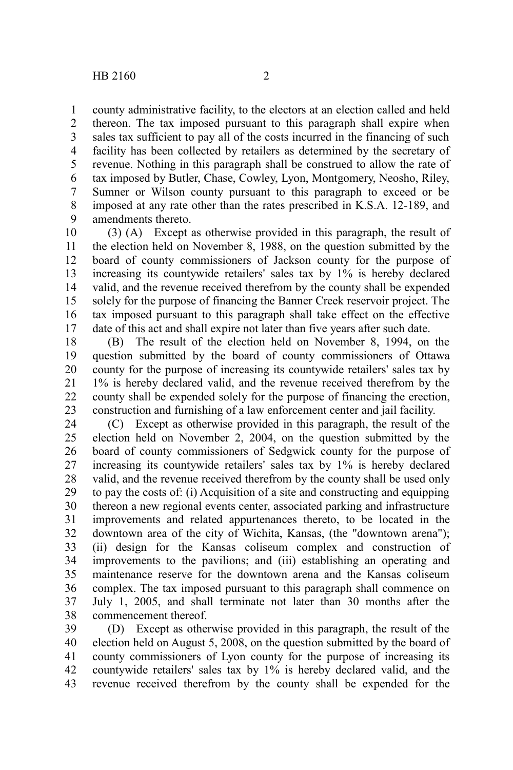county administrative facility, to the electors at an election called and held thereon. The tax imposed pursuant to this paragraph shall expire when sales tax sufficient to pay all of the costs incurred in the financing of such facility has been collected by retailers as determined by the secretary of revenue. Nothing in this paragraph shall be construed to allow the rate of tax imposed by Butler, Chase, Cowley, Lyon, Montgomery, Neosho, Riley, Sumner or Wilson county pursuant to this paragraph to exceed or be imposed at any rate other than the rates prescribed in K.S.A. 12-189, and amendments thereto. 1 2 3 4 5 6 7 8 9

(3) (A) Except as otherwise provided in this paragraph, the result of the election held on November 8, 1988, on the question submitted by the board of county commissioners of Jackson county for the purpose of increasing its countywide retailers' sales tax by 1% is hereby declared valid, and the revenue received therefrom by the county shall be expended solely for the purpose of financing the Banner Creek reservoir project. The tax imposed pursuant to this paragraph shall take effect on the effective date of this act and shall expire not later than five years after such date. 10 11 12 13 14 15 16 17

(B) The result of the election held on November 8, 1994, on the question submitted by the board of county commissioners of Ottawa county for the purpose of increasing its countywide retailers' sales tax by 1% is hereby declared valid, and the revenue received therefrom by the county shall be expended solely for the purpose of financing the erection, construction and furnishing of a law enforcement center and jail facility. 18 19 20 21 22 23

(C) Except as otherwise provided in this paragraph, the result of the election held on November 2, 2004, on the question submitted by the board of county commissioners of Sedgwick county for the purpose of increasing its countywide retailers' sales tax by 1% is hereby declared valid, and the revenue received therefrom by the county shall be used only to pay the costs of: (i) Acquisition of a site and constructing and equipping thereon a new regional events center, associated parking and infrastructure improvements and related appurtenances thereto, to be located in the downtown area of the city of Wichita, Kansas, (the "downtown arena"); (ii) design for the Kansas coliseum complex and construction of improvements to the pavilions; and (iii) establishing an operating and maintenance reserve for the downtown arena and the Kansas coliseum complex. The tax imposed pursuant to this paragraph shall commence on July 1, 2005, and shall terminate not later than 30 months after the commencement thereof. 24 25 26 27 28 29 30 31 32 33 34 35 36 37 38

(D) Except as otherwise provided in this paragraph, the result of the election held on August 5, 2008, on the question submitted by the board of county commissioners of Lyon county for the purpose of increasing its countywide retailers' sales tax by 1% is hereby declared valid, and the revenue received therefrom by the county shall be expended for the 39 40 41 42 43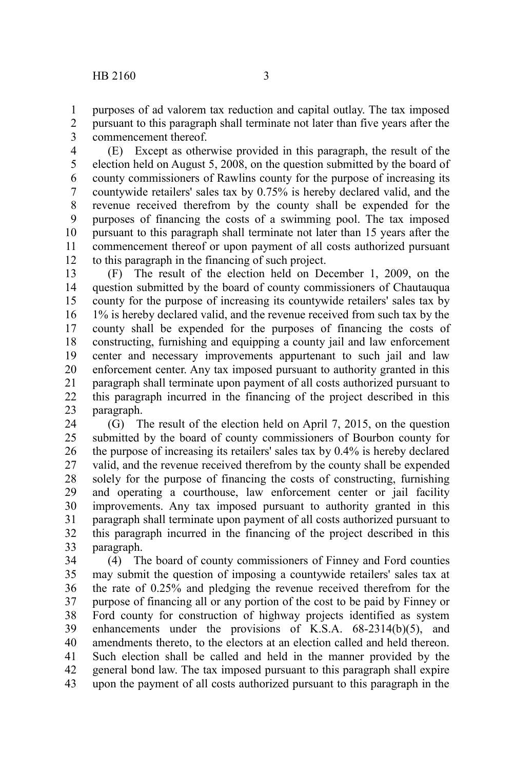purposes of ad valorem tax reduction and capital outlay. The tax imposed pursuant to this paragraph shall terminate not later than five years after the commencement thereof. 1 2 3

(E) Except as otherwise provided in this paragraph, the result of the election held on August 5, 2008, on the question submitted by the board of county commissioners of Rawlins county for the purpose of increasing its countywide retailers' sales tax by 0.75% is hereby declared valid, and the revenue received therefrom by the county shall be expended for the purposes of financing the costs of a swimming pool. The tax imposed pursuant to this paragraph shall terminate not later than 15 years after the commencement thereof or upon payment of all costs authorized pursuant to this paragraph in the financing of such project. 4 5 6 7 8 9 10 11 12

(F) The result of the election held on December 1, 2009, on the question submitted by the board of county commissioners of Chautauqua county for the purpose of increasing its countywide retailers' sales tax by 1% is hereby declared valid, and the revenue received from such tax by the county shall be expended for the purposes of financing the costs of constructing, furnishing and equipping a county jail and law enforcement center and necessary improvements appurtenant to such jail and law enforcement center. Any tax imposed pursuant to authority granted in this paragraph shall terminate upon payment of all costs authorized pursuant to this paragraph incurred in the financing of the project described in this paragraph. 13 14 15 16 17 18 19 20 21 22 23

(G) The result of the election held on April 7, 2015, on the question submitted by the board of county commissioners of Bourbon county for the purpose of increasing its retailers' sales tax by 0.4% is hereby declared valid, and the revenue received therefrom by the county shall be expended solely for the purpose of financing the costs of constructing, furnishing and operating a courthouse, law enforcement center or jail facility improvements. Any tax imposed pursuant to authority granted in this paragraph shall terminate upon payment of all costs authorized pursuant to this paragraph incurred in the financing of the project described in this paragraph. 24 25 26 27 28 29 30 31 32 33

(4) The board of county commissioners of Finney and Ford counties may submit the question of imposing a countywide retailers' sales tax at the rate of 0.25% and pledging the revenue received therefrom for the purpose of financing all or any portion of the cost to be paid by Finney or Ford county for construction of highway projects identified as system enhancements under the provisions of K.S.A. 68-2314(b)(5), and amendments thereto, to the electors at an election called and held thereon. Such election shall be called and held in the manner provided by the general bond law. The tax imposed pursuant to this paragraph shall expire upon the payment of all costs authorized pursuant to this paragraph in the 34 35 36 37 38 39 40 41 42 43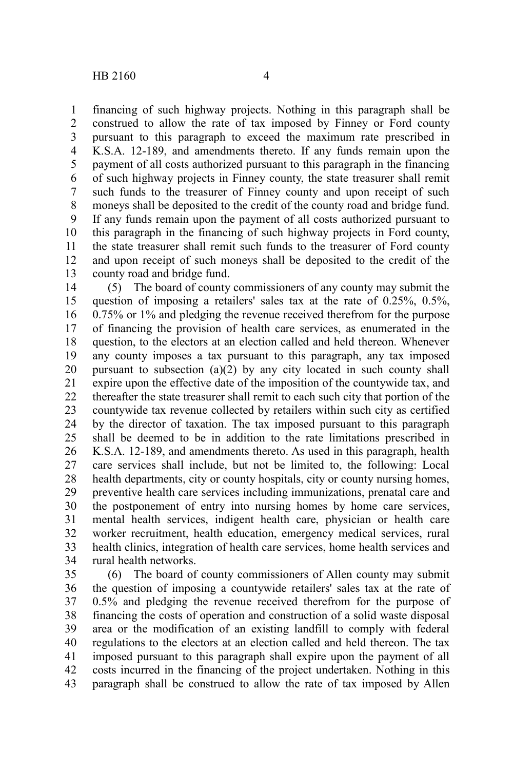financing of such highway projects. Nothing in this paragraph shall be construed to allow the rate of tax imposed by Finney or Ford county pursuant to this paragraph to exceed the maximum rate prescribed in K.S.A. 12-189, and amendments thereto. If any funds remain upon the payment of all costs authorized pursuant to this paragraph in the financing of such highway projects in Finney county, the state treasurer shall remit such funds to the treasurer of Finney county and upon receipt of such moneys shall be deposited to the credit of the county road and bridge fund. If any funds remain upon the payment of all costs authorized pursuant to this paragraph in the financing of such highway projects in Ford county, the state treasurer shall remit such funds to the treasurer of Ford county and upon receipt of such moneys shall be deposited to the credit of the county road and bridge fund. 1 2 3 4 5 6 7 8 9 10 11 12 13

(5) The board of county commissioners of any county may submit the question of imposing a retailers' sales tax at the rate of 0.25%, 0.5%, 0.75% or 1% and pledging the revenue received therefrom for the purpose of financing the provision of health care services, as enumerated in the question, to the electors at an election called and held thereon. Whenever any county imposes a tax pursuant to this paragraph, any tax imposed pursuant to subsection (a)(2) by any city located in such county shall expire upon the effective date of the imposition of the countywide tax, and thereafter the state treasurer shall remit to each such city that portion of the countywide tax revenue collected by retailers within such city as certified by the director of taxation. The tax imposed pursuant to this paragraph shall be deemed to be in addition to the rate limitations prescribed in K.S.A. 12-189, and amendments thereto. As used in this paragraph, health care services shall include, but not be limited to, the following: Local health departments, city or county hospitals, city or county nursing homes, preventive health care services including immunizations, prenatal care and the postponement of entry into nursing homes by home care services, mental health services, indigent health care, physician or health care worker recruitment, health education, emergency medical services, rural health clinics, integration of health care services, home health services and rural health networks. 14 15 16 17 18 19 20 21 22 23 24 25 26 27 28 29 30 31 32 33 34

(6) The board of county commissioners of Allen county may submit the question of imposing a countywide retailers' sales tax at the rate of 0.5% and pledging the revenue received therefrom for the purpose of financing the costs of operation and construction of a solid waste disposal area or the modification of an existing landfill to comply with federal regulations to the electors at an election called and held thereon. The tax imposed pursuant to this paragraph shall expire upon the payment of all costs incurred in the financing of the project undertaken. Nothing in this paragraph shall be construed to allow the rate of tax imposed by Allen 35 36 37 38 39 40 41 42 43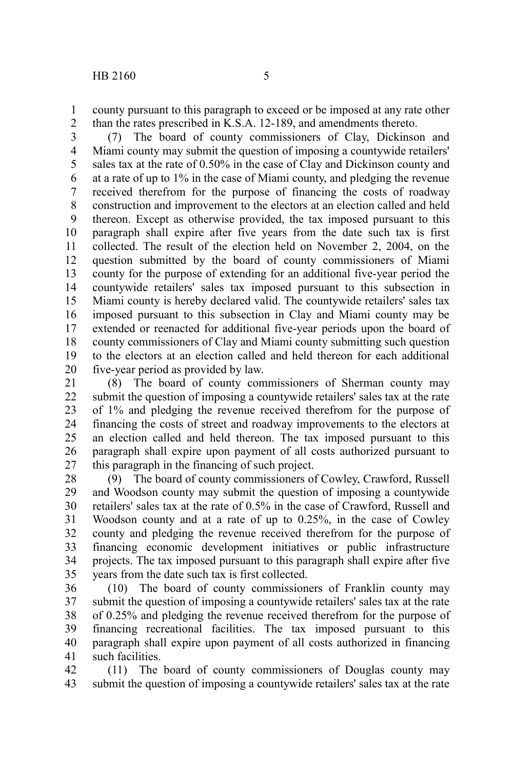county pursuant to this paragraph to exceed or be imposed at any rate other than the rates prescribed in K.S.A. 12-189, and amendments thereto. 1 2

(7) The board of county commissioners of Clay, Dickinson and Miami county may submit the question of imposing a countywide retailers' sales tax at the rate of 0.50% in the case of Clay and Dickinson county and at a rate of up to 1% in the case of Miami county, and pledging the revenue received therefrom for the purpose of financing the costs of roadway construction and improvement to the electors at an election called and held thereon. Except as otherwise provided, the tax imposed pursuant to this paragraph shall expire after five years from the date such tax is first collected. The result of the election held on November 2, 2004, on the question submitted by the board of county commissioners of Miami county for the purpose of extending for an additional five-year period the countywide retailers' sales tax imposed pursuant to this subsection in Miami county is hereby declared valid. The countywide retailers' sales tax imposed pursuant to this subsection in Clay and Miami county may be extended or reenacted for additional five-year periods upon the board of county commissioners of Clay and Miami county submitting such question to the electors at an election called and held thereon for each additional five-year period as provided by law. 3 4 5 6 7 8 9 10 11 12 13 14 15 16 17 18 19 20

(8) The board of county commissioners of Sherman county may submit the question of imposing a countywide retailers' sales tax at the rate of 1% and pledging the revenue received therefrom for the purpose of financing the costs of street and roadway improvements to the electors at an election called and held thereon. The tax imposed pursuant to this paragraph shall expire upon payment of all costs authorized pursuant to this paragraph in the financing of such project. 21 22 23 24 25 26 27

(9) The board of county commissioners of Cowley, Crawford, Russell and Woodson county may submit the question of imposing a countywide retailers' sales tax at the rate of 0.5% in the case of Crawford, Russell and Woodson county and at a rate of up to 0.25%, in the case of Cowley county and pledging the revenue received therefrom for the purpose of financing economic development initiatives or public infrastructure projects. The tax imposed pursuant to this paragraph shall expire after five years from the date such tax is first collected. 28 29 30 31 32 33 34 35

(10) The board of county commissioners of Franklin county may submit the question of imposing a countywide retailers' sales tax at the rate of 0.25% and pledging the revenue received therefrom for the purpose of financing recreational facilities. The tax imposed pursuant to this paragraph shall expire upon payment of all costs authorized in financing such facilities. 36 37 38 39 40 41

(11) The board of county commissioners of Douglas county may submit the question of imposing a countywide retailers' sales tax at the rate 42 43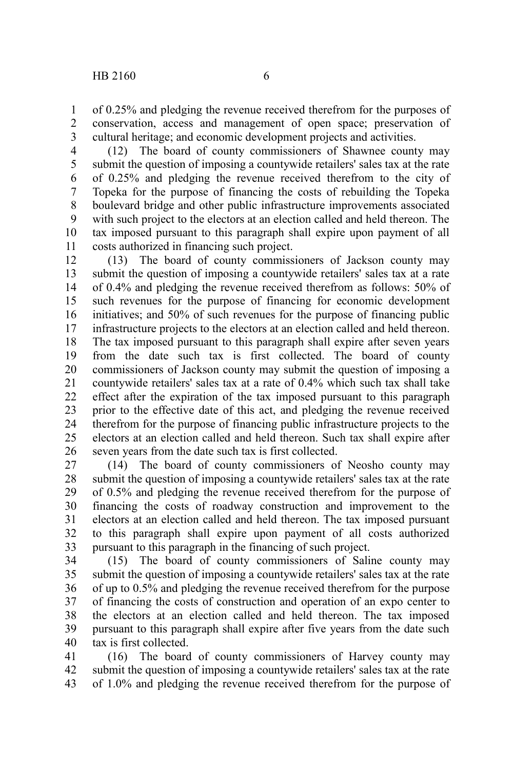of 0.25% and pledging the revenue received therefrom for the purposes of conservation, access and management of open space; preservation of cultural heritage; and economic development projects and activities. 1 2 3

(12) The board of county commissioners of Shawnee county may submit the question of imposing a countywide retailers' sales tax at the rate of 0.25% and pledging the revenue received therefrom to the city of Topeka for the purpose of financing the costs of rebuilding the Topeka boulevard bridge and other public infrastructure improvements associated with such project to the electors at an election called and held thereon. The tax imposed pursuant to this paragraph shall expire upon payment of all costs authorized in financing such project. 4 5 6 7 8 9 10 11

(13) The board of county commissioners of Jackson county may submit the question of imposing a countywide retailers' sales tax at a rate of 0.4% and pledging the revenue received therefrom as follows: 50% of such revenues for the purpose of financing for economic development initiatives; and 50% of such revenues for the purpose of financing public infrastructure projects to the electors at an election called and held thereon. The tax imposed pursuant to this paragraph shall expire after seven years from the date such tax is first collected. The board of county commissioners of Jackson county may submit the question of imposing a countywide retailers' sales tax at a rate of 0.4% which such tax shall take effect after the expiration of the tax imposed pursuant to this paragraph prior to the effective date of this act, and pledging the revenue received therefrom for the purpose of financing public infrastructure projects to the electors at an election called and held thereon. Such tax shall expire after seven years from the date such tax is first collected. 12 13 14 15 16 17 18 19 20 21 22 23 24 25 26

(14) The board of county commissioners of Neosho county may submit the question of imposing a countywide retailers' sales tax at the rate of 0.5% and pledging the revenue received therefrom for the purpose of financing the costs of roadway construction and improvement to the electors at an election called and held thereon. The tax imposed pursuant to this paragraph shall expire upon payment of all costs authorized pursuant to this paragraph in the financing of such project. 27 28 29 30 31 32 33

(15) The board of county commissioners of Saline county may submit the question of imposing a countywide retailers' sales tax at the rate of up to 0.5% and pledging the revenue received therefrom for the purpose of financing the costs of construction and operation of an expo center to the electors at an election called and held thereon. The tax imposed pursuant to this paragraph shall expire after five years from the date such tax is first collected. 34 35 36 37 38 39 40

(16) The board of county commissioners of Harvey county may submit the question of imposing a countywide retailers' sales tax at the rate of 1.0% and pledging the revenue received therefrom for the purpose of 41 42 43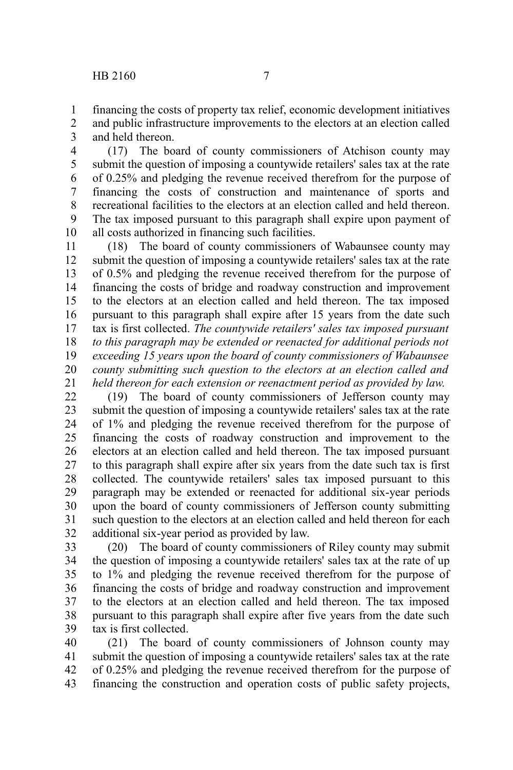financing the costs of property tax relief, economic development initiatives and public infrastructure improvements to the electors at an election called and held thereon. 1 2 3

(17) The board of county commissioners of Atchison county may submit the question of imposing a countywide retailers' sales tax at the rate of 0.25% and pledging the revenue received therefrom for the purpose of financing the costs of construction and maintenance of sports and recreational facilities to the electors at an election called and held thereon. The tax imposed pursuant to this paragraph shall expire upon payment of all costs authorized in financing such facilities. 4 5 6 7 8 9 10

(18) The board of county commissioners of Wabaunsee county may submit the question of imposing a countywide retailers' sales tax at the rate of 0.5% and pledging the revenue received therefrom for the purpose of financing the costs of bridge and roadway construction and improvement to the electors at an election called and held thereon. The tax imposed pursuant to this paragraph shall expire after 15 years from the date such tax is first collected. *The countywide retailers' sales tax imposed pursuant to this paragraph may be extended or reenacted for additional periods not exceeding 15 years upon the board of county commissioners of Wabaunsee county submitting such question to the electors at an election called and held thereon for each extension or reenactment period as provided by law.*  11 12 13 14 15 16 17 18 19 20 21

(19) The board of county commissioners of Jefferson county may submit the question of imposing a countywide retailers' sales tax at the rate of 1% and pledging the revenue received therefrom for the purpose of financing the costs of roadway construction and improvement to the electors at an election called and held thereon. The tax imposed pursuant to this paragraph shall expire after six years from the date such tax is first collected. The countywide retailers' sales tax imposed pursuant to this paragraph may be extended or reenacted for additional six-year periods upon the board of county commissioners of Jefferson county submitting such question to the electors at an election called and held thereon for each additional six-year period as provided by law. 22 23 24 25 26 27 28 29 30 31 32

(20) The board of county commissioners of Riley county may submit the question of imposing a countywide retailers' sales tax at the rate of up to 1% and pledging the revenue received therefrom for the purpose of financing the costs of bridge and roadway construction and improvement to the electors at an election called and held thereon. The tax imposed pursuant to this paragraph shall expire after five years from the date such tax is first collected. 33 34 35 36 37 38 39

(21) The board of county commissioners of Johnson county may submit the question of imposing a countywide retailers' sales tax at the rate of 0.25% and pledging the revenue received therefrom for the purpose of financing the construction and operation costs of public safety projects, 40 41 42 43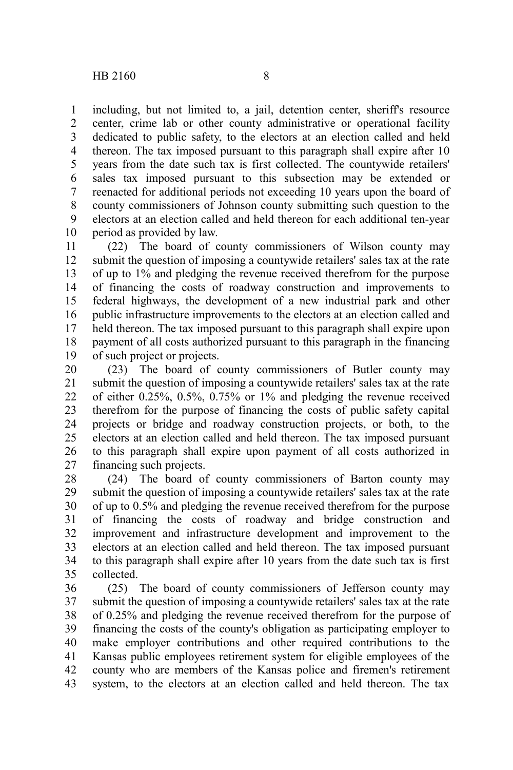including, but not limited to, a jail, detention center, sheriff's resource center, crime lab or other county administrative or operational facility dedicated to public safety, to the electors at an election called and held thereon. The tax imposed pursuant to this paragraph shall expire after 10 years from the date such tax is first collected. The countywide retailers' sales tax imposed pursuant to this subsection may be extended or reenacted for additional periods not exceeding 10 years upon the board of county commissioners of Johnson county submitting such question to the electors at an election called and held thereon for each additional ten-year period as provided by law. 1 2 3 4 5 6 7 8 9 10

(22) The board of county commissioners of Wilson county may submit the question of imposing a countywide retailers' sales tax at the rate of up to 1% and pledging the revenue received therefrom for the purpose of financing the costs of roadway construction and improvements to federal highways, the development of a new industrial park and other public infrastructure improvements to the electors at an election called and held thereon. The tax imposed pursuant to this paragraph shall expire upon payment of all costs authorized pursuant to this paragraph in the financing of such project or projects. 11 12 13 14 15 16 17 18 19

(23) The board of county commissioners of Butler county may submit the question of imposing a countywide retailers' sales tax at the rate of either 0.25%, 0.5%, 0.75% or 1% and pledging the revenue received therefrom for the purpose of financing the costs of public safety capital projects or bridge and roadway construction projects, or both, to the electors at an election called and held thereon. The tax imposed pursuant to this paragraph shall expire upon payment of all costs authorized in financing such projects. 20 21 22 23 24 25 26 27

(24) The board of county commissioners of Barton county may submit the question of imposing a countywide retailers' sales tax at the rate of up to 0.5% and pledging the revenue received therefrom for the purpose of financing the costs of roadway and bridge construction and improvement and infrastructure development and improvement to the electors at an election called and held thereon. The tax imposed pursuant to this paragraph shall expire after 10 years from the date such tax is first collected. 28 29 30 31 32 33 34 35

(25) The board of county commissioners of Jefferson county may submit the question of imposing a countywide retailers' sales tax at the rate of 0.25% and pledging the revenue received therefrom for the purpose of financing the costs of the county's obligation as participating employer to make employer contributions and other required contributions to the Kansas public employees retirement system for eligible employees of the county who are members of the Kansas police and firemen's retirement system, to the electors at an election called and held thereon. The tax 36 37 38 39 40 41 42 43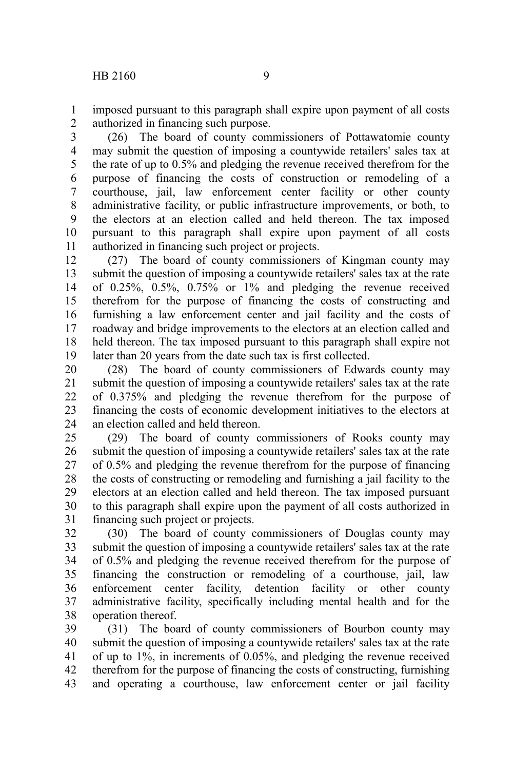imposed pursuant to this paragraph shall expire upon payment of all costs authorized in financing such purpose. 1 2

(26) The board of county commissioners of Pottawatomie county may submit the question of imposing a countywide retailers' sales tax at the rate of up to 0.5% and pledging the revenue received therefrom for the purpose of financing the costs of construction or remodeling of a courthouse, jail, law enforcement center facility or other county administrative facility, or public infrastructure improvements, or both, to the electors at an election called and held thereon. The tax imposed pursuant to this paragraph shall expire upon payment of all costs authorized in financing such project or projects. 3 4 5 6 7 8 9 10 11

(27) The board of county commissioners of Kingman county may submit the question of imposing a countywide retailers' sales tax at the rate of 0.25%, 0.5%, 0.75% or 1% and pledging the revenue received therefrom for the purpose of financing the costs of constructing and furnishing a law enforcement center and jail facility and the costs of roadway and bridge improvements to the electors at an election called and held thereon. The tax imposed pursuant to this paragraph shall expire not later than 20 years from the date such tax is first collected. 12 13 14 15 16 17 18 19

(28) The board of county commissioners of Edwards county may submit the question of imposing a countywide retailers' sales tax at the rate of 0.375% and pledging the revenue therefrom for the purpose of financing the costs of economic development initiatives to the electors at an election called and held thereon. 20 21 22 23 24

(29) The board of county commissioners of Rooks county may submit the question of imposing a countywide retailers' sales tax at the rate of 0.5% and pledging the revenue therefrom for the purpose of financing the costs of constructing or remodeling and furnishing a jail facility to the electors at an election called and held thereon. The tax imposed pursuant to this paragraph shall expire upon the payment of all costs authorized in financing such project or projects. 25 26 27 28 29 30 31

(30) The board of county commissioners of Douglas county may submit the question of imposing a countywide retailers' sales tax at the rate of 0.5% and pledging the revenue received therefrom for the purpose of financing the construction or remodeling of a courthouse, jail, law enforcement center facility, detention facility or other county administrative facility, specifically including mental health and for the operation thereof. 32 33 34 35 36 37 38

(31) The board of county commissioners of Bourbon county may submit the question of imposing a countywide retailers' sales tax at the rate of up to 1%, in increments of 0.05%, and pledging the revenue received therefrom for the purpose of financing the costs of constructing, furnishing and operating a courthouse, law enforcement center or jail facility 39 40 41 42 43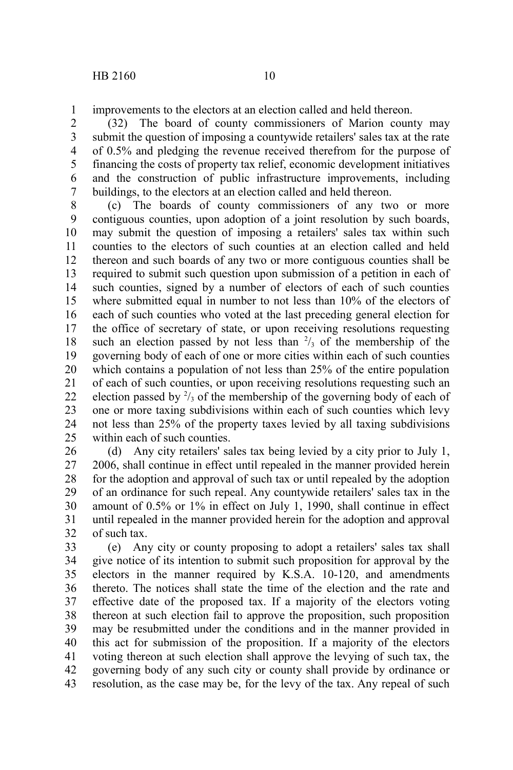improvements to the electors at an election called and held thereon. 1

(32) The board of county commissioners of Marion county may submit the question of imposing a countywide retailers' sales tax at the rate of 0.5% and pledging the revenue received therefrom for the purpose of financing the costs of property tax relief, economic development initiatives and the construction of public infrastructure improvements, including buildings, to the electors at an election called and held thereon. 2 3 4 5 6 7

(c) The boards of county commissioners of any two or more contiguous counties, upon adoption of a joint resolution by such boards, may submit the question of imposing a retailers' sales tax within such counties to the electors of such counties at an election called and held thereon and such boards of any two or more contiguous counties shall be required to submit such question upon submission of a petition in each of such counties, signed by a number of electors of each of such counties where submitted equal in number to not less than 10% of the electors of each of such counties who voted at the last preceding general election for the office of secretary of state, or upon receiving resolutions requesting such an election passed by not less than  $\frac{2}{3}$  of the membership of the governing body of each of one or more cities within each of such counties which contains a population of not less than 25% of the entire population of each of such counties, or upon receiving resolutions requesting such an election passed by  $\frac{2}{3}$  of the membership of the governing body of each of one or more taxing subdivisions within each of such counties which levy not less than 25% of the property taxes levied by all taxing subdivisions within each of such counties. 8 9 10 11 12 13 14 15 16 17 18 19 20 21 22 23 24 25

(d) Any city retailers' sales tax being levied by a city prior to July 1, 2006, shall continue in effect until repealed in the manner provided herein for the adoption and approval of such tax or until repealed by the adoption of an ordinance for such repeal. Any countywide retailers' sales tax in the amount of 0.5% or 1% in effect on July 1, 1990, shall continue in effect until repealed in the manner provided herein for the adoption and approval of such tax. 26 27 28 29 30 31 32

(e) Any city or county proposing to adopt a retailers' sales tax shall give notice of its intention to submit such proposition for approval by the electors in the manner required by K.S.A. 10-120, and amendments thereto. The notices shall state the time of the election and the rate and effective date of the proposed tax. If a majority of the electors voting thereon at such election fail to approve the proposition, such proposition may be resubmitted under the conditions and in the manner provided in this act for submission of the proposition. If a majority of the electors voting thereon at such election shall approve the levying of such tax, the governing body of any such city or county shall provide by ordinance or resolution, as the case may be, for the levy of the tax. Any repeal of such 33 34 35 36 37 38 39 40 41 42 43